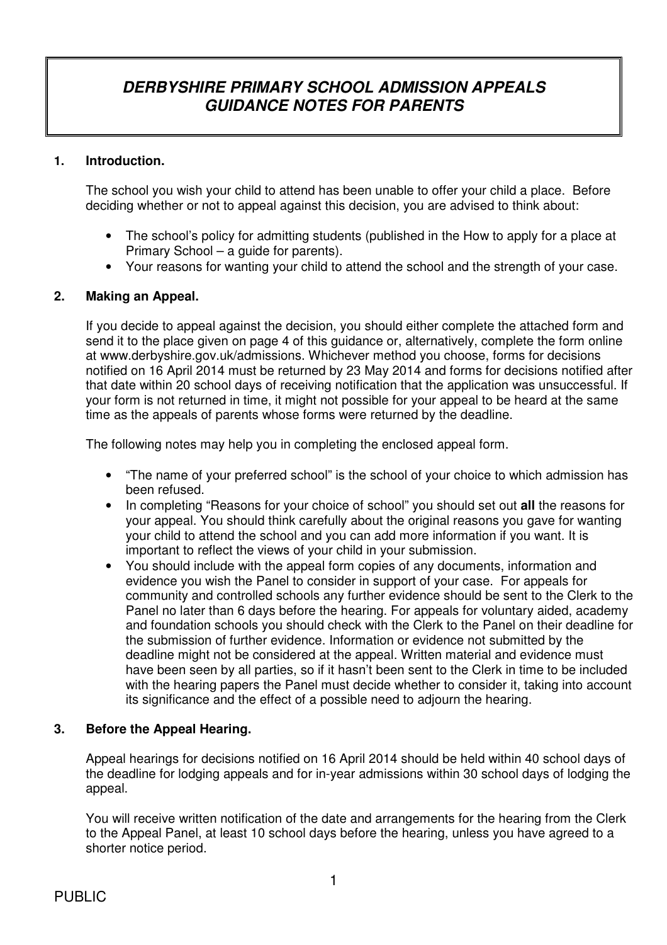# **DERBYSHIRE PRIMARY SCHOOL ADMISSION APPEALS GUIDANCE NOTES FOR PARENTS**

### **1. Introduction.**

 The school you wish your child to attend has been unable to offer your child a place. Before deciding whether or not to appeal against this decision, you are advised to think about:

- The school's policy for admitting students (published in the How to apply for a place at Primary School – a guide for parents).
- Your reasons for wanting your child to attend the school and the strength of your case.

### **2. Making an Appeal.**

 If you decide to appeal against the decision, you should either complete the attached form and send it to the place given on page 4 of this guidance or, alternatively, complete the form online at www.derbyshire.gov.uk/admissions. Whichever method you choose, forms for decisions notified on 16 April 2014 must be returned by 23 May 2014 and forms for decisions notified after that date within 20 school days of receiving notification that the application was unsuccessful. If your form is not returned in time, it might not possible for your appeal to be heard at the same time as the appeals of parents whose forms were returned by the deadline.

The following notes may help you in completing the enclosed appeal form.

- "The name of your preferred school" is the school of your choice to which admission has been refused.
- In completing "Reasons for your choice of school" you should set out **all** the reasons for your appeal. You should think carefully about the original reasons you gave for wanting your child to attend the school and you can add more information if you want. It is important to reflect the views of your child in your submission.
- You should include with the appeal form copies of any documents, information and evidence you wish the Panel to consider in support of your case. For appeals for community and controlled schools any further evidence should be sent to the Clerk to the Panel no later than 6 days before the hearing. For appeals for voluntary aided, academy and foundation schools you should check with the Clerk to the Panel on their deadline for the submission of further evidence. Information or evidence not submitted by the deadline might not be considered at the appeal. Written material and evidence must have been seen by all parties, so if it hasn't been sent to the Clerk in time to be included with the hearing papers the Panel must decide whether to consider it, taking into account its significance and the effect of a possible need to adjourn the hearing.

### **3. Before the Appeal Hearing.**

Appeal hearings for decisions notified on 16 April 2014 should be held within 40 school days of the deadline for lodging appeals and for in-year admissions within 30 school days of lodging the appeal.

 You will receive written notification of the date and arrangements for the hearing from the Clerk to the Appeal Panel, at least 10 school days before the hearing, unless you have agreed to a shorter notice period.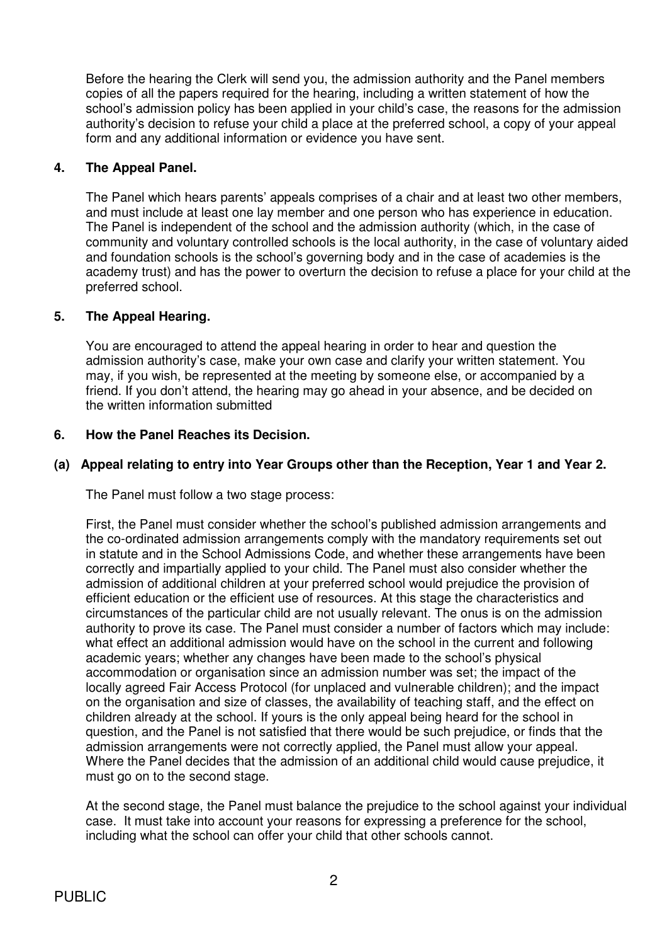Before the hearing the Clerk will send you, the admission authority and the Panel members copies of all the papers required for the hearing, including a written statement of how the school's admission policy has been applied in your child's case, the reasons for the admission authority's decision to refuse your child a place at the preferred school, a copy of your appeal form and any additional information or evidence you have sent.

### **4. The Appeal Panel.**

 The Panel which hears parents' appeals comprises of a chair and at least two other members, and must include at least one lay member and one person who has experience in education. The Panel is independent of the school and the admission authority (which, in the case of community and voluntary controlled schools is the local authority, in the case of voluntary aided and foundation schools is the school's governing body and in the case of academies is the academy trust) and has the power to overturn the decision to refuse a place for your child at the preferred school.

### **5. The Appeal Hearing.**

 You are encouraged to attend the appeal hearing in order to hear and question the admission authority's case, make your own case and clarify your written statement. You may, if you wish, be represented at the meeting by someone else, or accompanied by a friend. If you don't attend, the hearing may go ahead in your absence, and be decided on the written information submitted

### **6. How the Panel Reaches its Decision.**

### **(a) Appeal relating to entry into Year Groups other than the Reception, Year 1 and Year 2.**

The Panel must follow a two stage process:

First, the Panel must consider whether the school's published admission arrangements and the co-ordinated admission arrangements comply with the mandatory requirements set out in statute and in the School Admissions Code, and whether these arrangements have been correctly and impartially applied to your child. The Panel must also consider whether the admission of additional children at your preferred school would prejudice the provision of efficient education or the efficient use of resources. At this stage the characteristics and circumstances of the particular child are not usually relevant. The onus is on the admission authority to prove its case. The Panel must consider a number of factors which may include: what effect an additional admission would have on the school in the current and following academic years; whether any changes have been made to the school's physical accommodation or organisation since an admission number was set; the impact of the locally agreed Fair Access Protocol (for unplaced and vulnerable children); and the impact on the organisation and size of classes, the availability of teaching staff, and the effect on children already at the school. If yours is the only appeal being heard for the school in question, and the Panel is not satisfied that there would be such prejudice, or finds that the admission arrangements were not correctly applied, the Panel must allow your appeal. Where the Panel decides that the admission of an additional child would cause prejudice, it must go on to the second stage.

 At the second stage, the Panel must balance the prejudice to the school against your individual case. It must take into account your reasons for expressing a preference for the school, including what the school can offer your child that other schools cannot.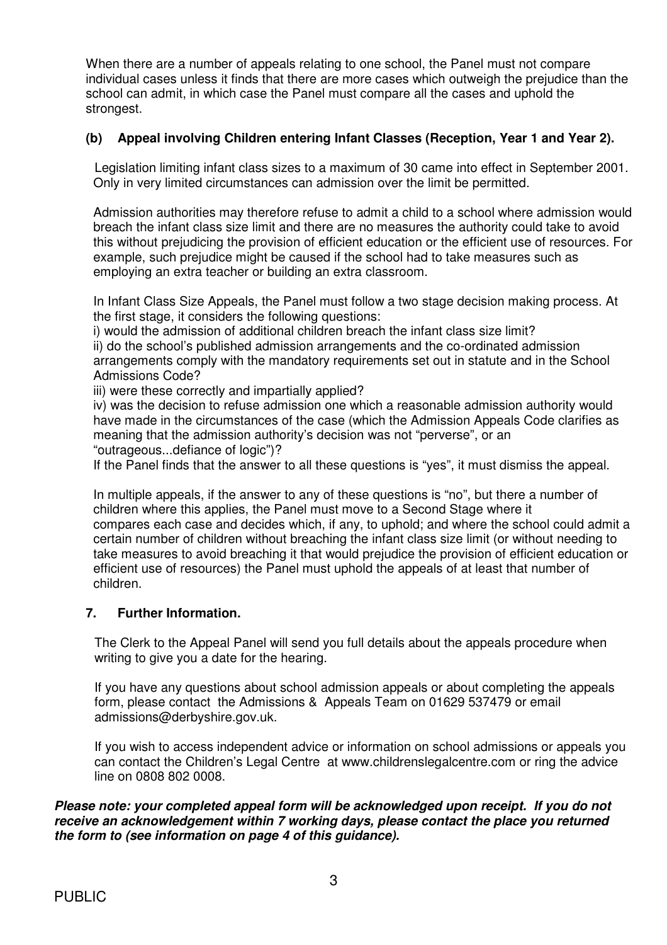When there are a number of appeals relating to one school, the Panel must not compare individual cases unless it finds that there are more cases which outweigh the prejudice than the school can admit, in which case the Panel must compare all the cases and uphold the strongest.

### **(b) Appeal involving Children entering Infant Classes (Reception, Year 1 and Year 2).**

Legislation limiting infant class sizes to a maximum of 30 came into effect in September 2001. Only in very limited circumstances can admission over the limit be permitted.

Admission authorities may therefore refuse to admit a child to a school where admission would breach the infant class size limit and there are no measures the authority could take to avoid this without prejudicing the provision of efficient education or the efficient use of resources. For example, such prejudice might be caused if the school had to take measures such as employing an extra teacher or building an extra classroom.

In Infant Class Size Appeals, the Panel must follow a two stage decision making process. At the first stage, it considers the following questions:

i) would the admission of additional children breach the infant class size limit?

ii) do the school's published admission arrangements and the co-ordinated admission arrangements comply with the mandatory requirements set out in statute and in the School Admissions Code?

iii) were these correctly and impartially applied?

iv) was the decision to refuse admission one which a reasonable admission authority would have made in the circumstances of the case (which the Admission Appeals Code clarifies as meaning that the admission authority's decision was not "perverse", or an "outrageous...defiance of logic")?

If the Panel finds that the answer to all these questions is "yes", it must dismiss the appeal.

In multiple appeals, if the answer to any of these questions is "no", but there a number of children where this applies, the Panel must move to a Second Stage where it compares each case and decides which, if any, to uphold; and where the school could admit a certain number of children without breaching the infant class size limit (or without needing to take measures to avoid breaching it that would prejudice the provision of efficient education or efficient use of resources) the Panel must uphold the appeals of at least that number of children.

### **7. Further Information.**

 The Clerk to the Appeal Panel will send you full details about the appeals procedure when writing to give you a date for the hearing.

 If you have any questions about school admission appeals or about completing the appeals form, please contact the Admissions & Appeals Team on 01629 537479 or email admissions@derbyshire.gov.uk.

 If you wish to access independent advice or information on school admissions or appeals you can contact the Children's Legal Centre at www.childrenslegalcentre.com or ring the advice line on 0808 802 0008.

### **Please note: your completed appeal form will be acknowledged upon receipt. If you do not receive an acknowledgement within 7 working days, please contact the place you returned the form to (see information on page 4 of this guidance).**